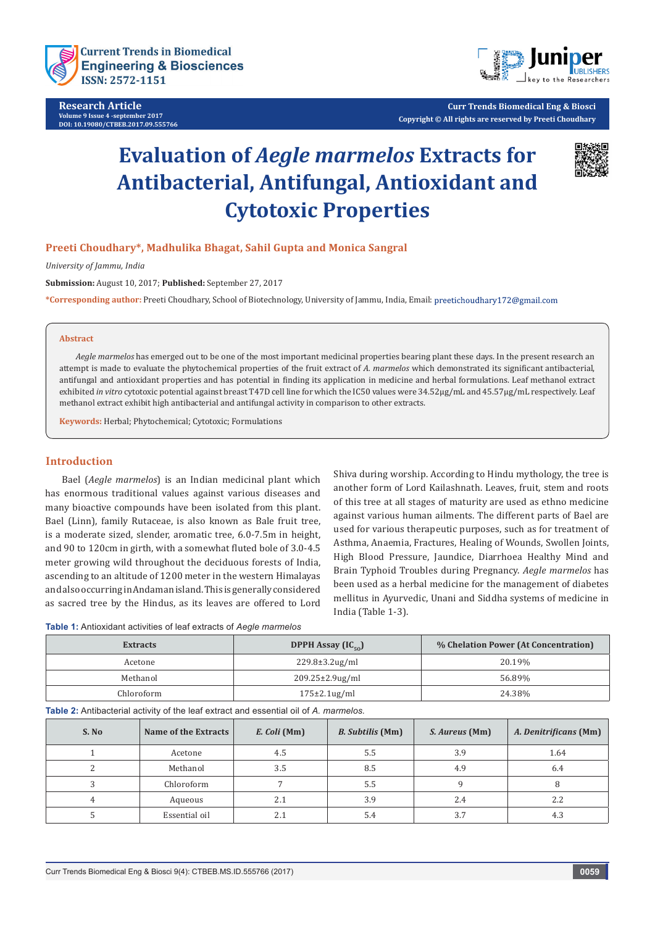

**Research Article Volume 9 Issue 4 -september 2017 DOI: [10.19080/CTBEB.2017.09.555766](http://dx.doi.org/10.19080/CTBEB.2017.09.555766)**



**Curr Trends Biomedical Eng & Biosci Copyright © All rights are reserved by Preeti Choudhary**

# **Evaluation of** *Aegle marmelos* **Extracts for Antibacterial, Antifungal, Antioxidant and Cytotoxic Properties**



# **Preeti Choudhary\*, Madhulika Bhagat, Sahil Gupta and Monica Sangral**

*University of Jammu, India*

**Submission:** August 10, 2017; **Published:** September 27, 2017

**\*Corresponding author:** Preeti Choudhary, School of Biotechnology, University of Jammu, India, Email:

#### **Abstract**

*Aegle marmelos* has emerged out to be one of the most important medicinal properties bearing plant these days. In the present research an attempt is made to evaluate the phytochemical properties of the fruit extract of *A. marmelos* which demonstrated its significant antibacterial, antifungal and antioxidant properties and has potential in finding its application in medicine and herbal formulations. Leaf methanol extract exhibited *in vitro* cytotoxic potential against breast T47D cell line for which the IC50 values were 34.52µg/mL and 45.57µg/mL respectively. Leaf methanol extract exhibit high antibacterial and antifungal activity in comparison to other extracts.

**Keywords:** Herbal; Phytochemical; Cytotoxic; Formulations

#### **Introduction**

Bael (*Aegle marmelos*) is an Indian medicinal plant which has enormous traditional values against various diseases and many bioactive compounds have been isolated from this plant. Bael (Linn), family Rutaceae, is also known as Bale fruit tree, is a moderate sized, slender, aromatic tree, 6.0-7.5m in height, and 90 to 120cm in girth, with a somewhat fluted bole of 3.0-4.5 meter growing wild throughout the deciduous forests of India, ascending to an altitude of 1200 meter in the western Himalayas and also occurring in Andaman island. This is generally considered as sacred tree by the Hindus, as its leaves are offered to Lord

Shiva during worship. According to Hindu mythology, the tree is another form of Lord Kailashnath. Leaves, fruit, stem and roots of this tree at all stages of maturity are used as ethno medicine against various human ailments. The different parts of Bael are used for various therapeutic purposes, such as for treatment of Asthma, Anaemia, Fractures, Healing of Wounds, Swollen Joints, High Blood Pressure, Jaundice, Diarrhoea Healthy Mind and Brain Typhoid Troubles during Pregnancy. *Aegle marmelos* has been used as a herbal medicine for the management of diabetes mellitus in Ayurvedic, Unani and Siddha systems of medicine in India (Table 1-3).

| <b>Table 1:</b> Antioxidant activities of leaf extracts of Aegle marmelos |  |  |
|---------------------------------------------------------------------------|--|--|
|---------------------------------------------------------------------------|--|--|

| <b>Extracts</b> | DPPH Assay $(IC_{\epsilon_0})$ | % Chelation Power (At Concentration) |  |
|-----------------|--------------------------------|--------------------------------------|--|
| Acetone         | $229.8 \pm 3.2$ ug/ml          | 20.19%                               |  |
| Methanol        | $209.25 \pm 2.9$ ug/ml         | 56.89%                               |  |
| Chloroform      | $175\pm2.1$ ug/ml              | 24.38%                               |  |

**Table 2:** Antibacterial activity of the leaf extract and essential oil of *A. marmelos.*

| S. No | Name of the Extracts | E. Coli (Mm) | <b>B.</b> Subtilis (Mm) | S. Aureus (Mm) | A. Denitrificans (Mm) |
|-------|----------------------|--------------|-------------------------|----------------|-----------------------|
|       | Acetone              | 4.5          | 5.5                     | 3.9            | 1.64                  |
|       | Methanol             | 3.5          | 8.5                     | 4.9            | 6.4                   |
|       | Chloroform           |              | 5.5                     |                |                       |
| 4     | Aqueous              | 2.1          | 3.9                     | 2.4            | 2.2                   |
|       | Essential oil        |              | 5.4                     | 3.7            | 4.3                   |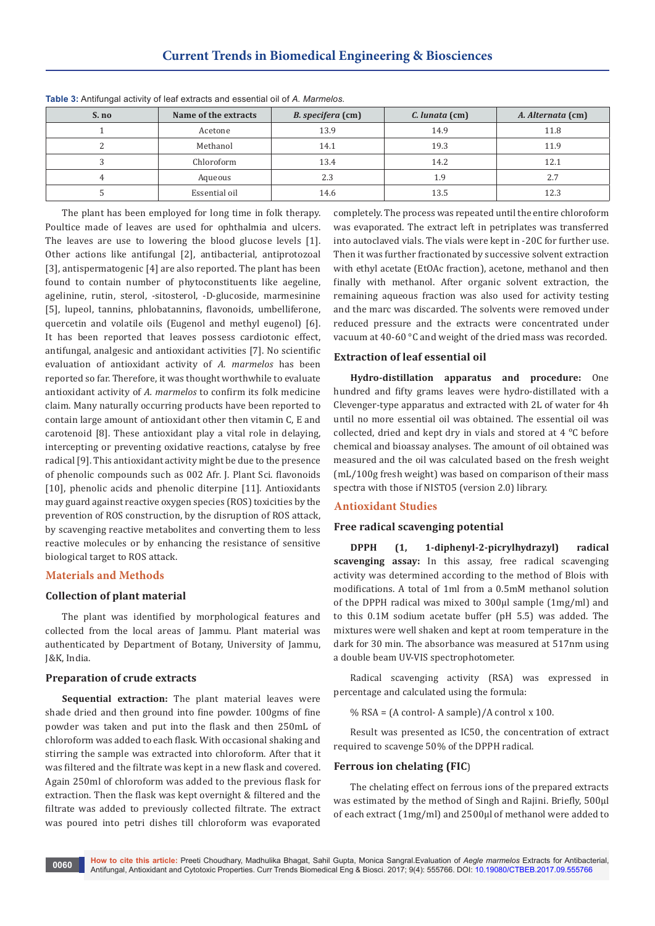| S. no | Name of the extracts | B. specifera (cm) | C. lunata (cm) | A. Alternata (cm) |
|-------|----------------------|-------------------|----------------|-------------------|
|       | Acetone              | 13.9              | 14.9           | 11.8              |
|       | Methanol             | 14.1              | 19.3           | 11.9              |
|       | Chloroform           | 13.4              | 14.2           | 12.1              |
|       | Aqueous              | 2.3               | 1.9            | 2.7               |
|       | Essential oil        | 14.6              | 13.5           | 12.3              |

**Table 3:** Antifungal activity of leaf extracts and essential oil of *A. Marmelos.*

The plant has been employed for long time in folk therapy. Poultice made of leaves are used for ophthalmia and ulcers. The leaves are use to lowering the blood glucose levels [1]. Other actions like antifungal [2], antibacterial, antiprotozoal [3], antispermatogenic [4] are also reported. The plant has been found to contain number of phytoconstituents like aegeline, agelinine, rutin, sterol, -sitosterol, -D-glucoside, marmesinine [5], lupeol, tannins, phlobatannins, flavonoids, umbelliferone, quercetin and volatile oils (Eugenol and methyl eugenol) [6]. It has been reported that leaves possess cardiotonic effect, antifungal, analgesic and antioxidant activities [7]. No scientific evaluation of antioxidant activity of *A. marmelos* has been reported so far. Therefore, it was thought worthwhile to evaluate antioxidant activity of *A. marmelos* to confirm its folk medicine claim. Many naturally occurring products have been reported to contain large amount of antioxidant other then vitamin C, E and carotenoid [8]. These antioxidant play a vital role in delaying, intercepting or preventing oxidative reactions, catalyse by free radical [9]. This antioxidant activity might be due to the presence of phenolic compounds such as 002 Afr. J. Plant Sci. flavonoids [10], phenolic acids and phenolic diterpine [11]. Antioxidants may guard against reactive oxygen species (ROS) toxicities by the prevention of ROS construction, by the disruption of ROS attack, by scavenging reactive metabolites and converting them to less reactive molecules or by enhancing the resistance of sensitive biological target to ROS attack.

#### **Materials and Methods**

## **Collection of plant material**

The plant was identified by morphological features and collected from the local areas of Jammu. Plant material was authenticated by Department of Botany, University of Jammu, J&K, India.

#### **Preparation of crude extracts**

**Sequential extraction:** The plant material leaves were shade dried and then ground into fine powder. 100gms of fine powder was taken and put into the flask and then 250mL of chloroform was added to each flask. With occasional shaking and stirring the sample was extracted into chloroform. After that it was filtered and the filtrate was kept in a new flask and covered. Again 250ml of chloroform was added to the previous flask for extraction. Then the flask was kept overnight & filtered and the filtrate was added to previously collected filtrate. The extract was poured into petri dishes till chloroform was evaporated

completely. The process was repeated until the entire chloroform was evaporated. The extract left in petriplates was transferred into autoclaved vials. The vials were kept in -20C for further use. Then it was further fractionated by successive solvent extraction with ethyl acetate (EtOAc fraction), acetone, methanol and then finally with methanol. After organic solvent extraction, the remaining aqueous fraction was also used for activity testing and the marc was discarded. The solvents were removed under reduced pressure and the extracts were concentrated under vacuum at 40-60 °C and weight of the dried mass was recorded.

## **Extraction of leaf essential oil**

**Hydro-distillation apparatus and procedure:** One hundred and fifty grams leaves were hydro-distillated with a Clevenger-type apparatus and extracted with 2L of water for 4h until no more essential oil was obtained. The essential oil was collected, dried and kept dry in vials and stored at 4 °C before chemical and bioassay analyses. The amount of oil obtained was measured and the oil was calculated based on the fresh weight (mL/100g fresh weight) was based on comparison of their mass spectra with those if NISTO5 (version 2.0) library.

## **Antioxidant Studies**

#### **Free radical scavenging potential**

**DPPH (1, 1-diphenyl-2-picrylhydrazyl) radical scavenging assay:** In this assay, free radical scavenging activity was determined according to the method of Blois with modifications. A total of 1ml from a 0.5mM methanol solution of the DPPH radical was mixed to 300µl sample (1mg/ml) and to this 0.1M sodium acetate buffer (pH 5.5) was added. The mixtures were well shaken and kept at room temperature in the dark for 30 min. The absorbance was measured at 517nm using a double beam UV-VIS spectrophotometer.

Radical scavenging activity (RSA) was expressed in percentage and calculated using the formula:

% RSA = (A control- A sample)/A control x 100.

Result was presented as IC50, the concentration of extract required to scavenge 50% of the DPPH radical.

#### **Ferrous ion chelating (FIC**)

The chelating effect on ferrous ions of the prepared extracts was estimated by the method of Singh and Rajini. Briefly, 500μl of each extract (1mg/ml) and 2500μl of methanol were added to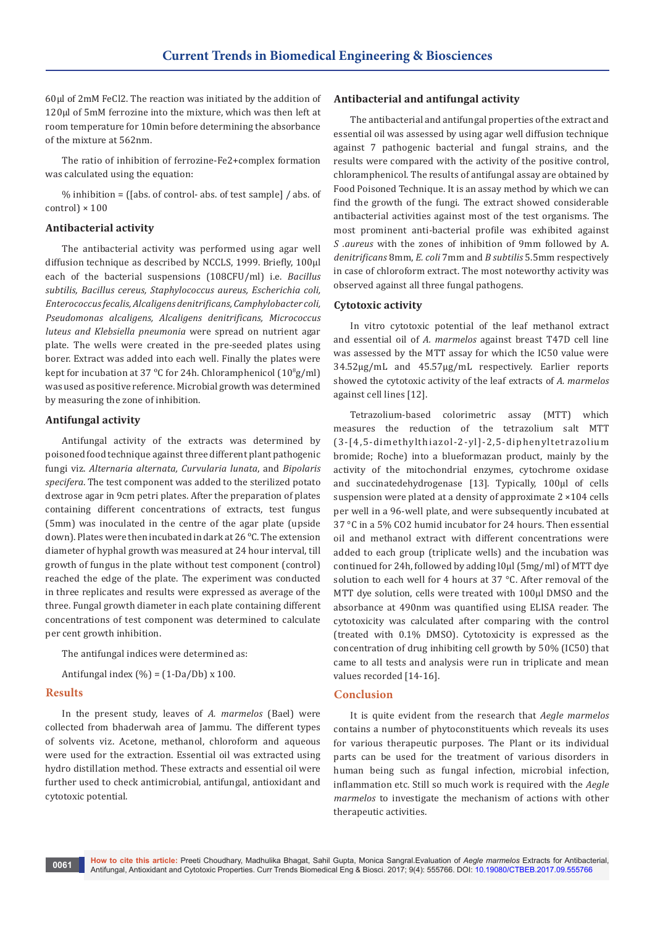60μl of 2mM FeCl2. The reaction was initiated by the addition of 120μl of 5mM ferrozine into the mixture, which was then left at room temperature for 10min before determining the absorbance of the mixture at 562nm.

The ratio of inhibition of ferrozine-Fe2+complex formation was calculated using the equation:

% inhibition = ([abs. of control- abs. of test sample] / abs. of control) × 100

#### **Antibacterial activity**

The antibacterial activity was performed using agar well diffusion technique as described by NCCLS, 1999. Briefly, 100µl each of the bacterial suspensions (108CFU/ml) i.e. *Bacillus subtilis, Bacillus cereus, Staphylococcus aureus, Escherichia coli, Enterococcus fecalis, Alcaligens denitrificans, Camphylobacter coli, Pseudomonas alcaligens, Alcaligens denitrificans, Micrococcus luteus and Klebsiella pneumonia* were spread on nutrient agar plate. The wells were created in the pre-seeded plates using borer. Extract was added into each well. Finally the plates were kept for incubation at 37 °C for 24h. Chloramphenicol  $(10^{\circ}$ g/ml) was used as positive reference. Microbial growth was determined by measuring the zone of inhibition.

## **Antifungal activity**

Antifungal activity of the extracts was determined by poisoned food technique against three different plant pathogenic fungi viz. *Alternaria alternata, Curvularia lunata*, and *Bipolaris specifera*. The test component was added to the sterilized potato dextrose agar in 9cm petri plates. After the preparation of plates containing different concentrations of extracts, test fungus (5mm) was inoculated in the centre of the agar plate (upside down). Plates were then incubated in dark at 26 ᵒC. The extension diameter of hyphal growth was measured at 24 hour interval, till growth of fungus in the plate without test component (control) reached the edge of the plate. The experiment was conducted in three replicates and results were expressed as average of the three. Fungal growth diameter in each plate containing different concentrations of test component was determined to calculate per cent growth inhibition.

The antifungal indices were determined as:

Antifungal index  $(\%) = (1-Da/Db) \times 100$ .

#### **Results**

In the present study, leaves of *A. marmelos* (Bael) were collected from bhaderwah area of Jammu. The different types of solvents viz. Acetone, methanol, chloroform and aqueous were used for the extraction. Essential oil was extracted using hydro distillation method. These extracts and essential oil were further used to check antimicrobial, antifungal, antioxidant and cytotoxic potential.

## **Antibacterial and antifungal activity**

The antibacterial and antifungal properties of the extract and essential oil was assessed by using agar well diffusion technique against 7 pathogenic bacterial and fungal strains, and the results were compared with the activity of the positive control, chloramphenicol. The results of antifungal assay are obtained by Food Poisoned Technique. It is an assay method by which we can find the growth of the fungi. The extract showed considerable antibacterial activities against most of the test organisms. The most prominent anti-bacterial profile was exhibited against *S .aureus* with the zones of inhibition of 9mm followed by A. *denitrificans* 8mm, *E. coli* 7mm and *B subtilis* 5.5mm respectively in case of chloroform extract. The most noteworthy activity was observed against all three fungal pathogens.

#### **Cytotoxic activity**

In vitro cytotoxic potential of the leaf methanol extract and essential oil of *A. marmelos* against breast T47D cell line was assessed by the MTT assay for which the IC50 value were 34.52µg/mL and 45.57µg/mL respectively. Earlier reports showed the cytotoxic activity of the leaf extracts of *A. marmelos* against cell lines [12].

Tetrazolium-based colorimetric assay (MTT) which measures the reduction of the tetrazolium salt MTT (3-[4,5-dimethylthiazol-2-yl]-2,5-diphenyltetrazolium bromide; Roche) into a blueformazan product, mainly by the activity of the mitochondrial enzymes, cytochrome oxidase and succinatedehydrogenase [13]. Typically, 100μl of cells suspension were plated at a density of approximate 2 ×104 cells per well in a 96-well plate, and were subsequently incubated at 37 °C in a 5% CO2 humid incubator for 24 hours. Then essential oil and methanol extract with different concentrations were added to each group (triplicate wells) and the incubation was continued for 24h, followed by adding l0μl (5mg/ml) of MTT dye solution to each well for 4 hours at 37 °C. After removal of the MTT dye solution, cells were treated with 100μl DMSO and the absorbance at 490nm was quantified using ELISA reader. The cytotoxicity was calculated after comparing with the control (treated with 0.1% DMSO). Cytotoxicity is expressed as the concentration of drug inhibiting cell growth by 50% (IC50) that came to all tests and analysis were run in triplicate and mean values recorded [14-16].

## **Conclusion**

It is quite evident from the research that *Aegle marmelos*  contains a number of phytoconstituents which reveals its uses for various therapeutic purposes. The Plant or its individual parts can be used for the treatment of various disorders in human being such as fungal infection, microbial infection, inflammation etc. Still so much work is required with the *Aegle marmelos* to investigate the mechanism of actions with other therapeutic activities.